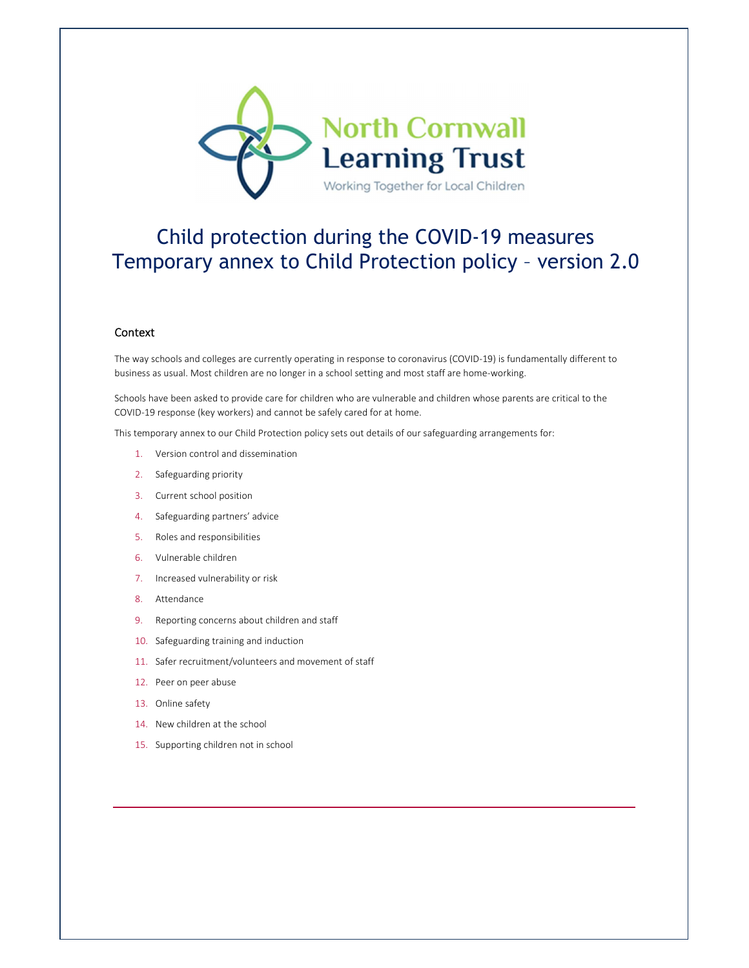

# Child protection during the COVID-19 measures Temporary annex to Child Protection policy – version 2.0

## **Context**

The way schools and colleges are currently operating in response to coronavirus (COVID-19) is fundamentally different to business as usual. Most children are no longer in a school setting and most staff are home-working.

Schools have been asked to provide care for children who are vulnerable and children whose parents are critical to the COVID-19 response (key workers) and cannot be safely cared for at home.

This temporary annex to our Child Protection policy sets out details of our safeguarding arrangements for:

- 1. Version control and dissemination
- 2. Safeguarding priority
- 3. Current school position
- 4. Safeguarding partners' advice
- 5. Roles and responsibilities
- 6. Vulnerable children
- 7. Increased vulnerability or risk
- 8. Attendance
- 9. Reporting concerns about children and staff
- 10. Safeguarding training and induction
- 11. Safer recruitment/volunteers and movement of staff
- 12. Peer on peer abuse
- 13. Online safety
- 14. New children at the school
- 15. Supporting children not in school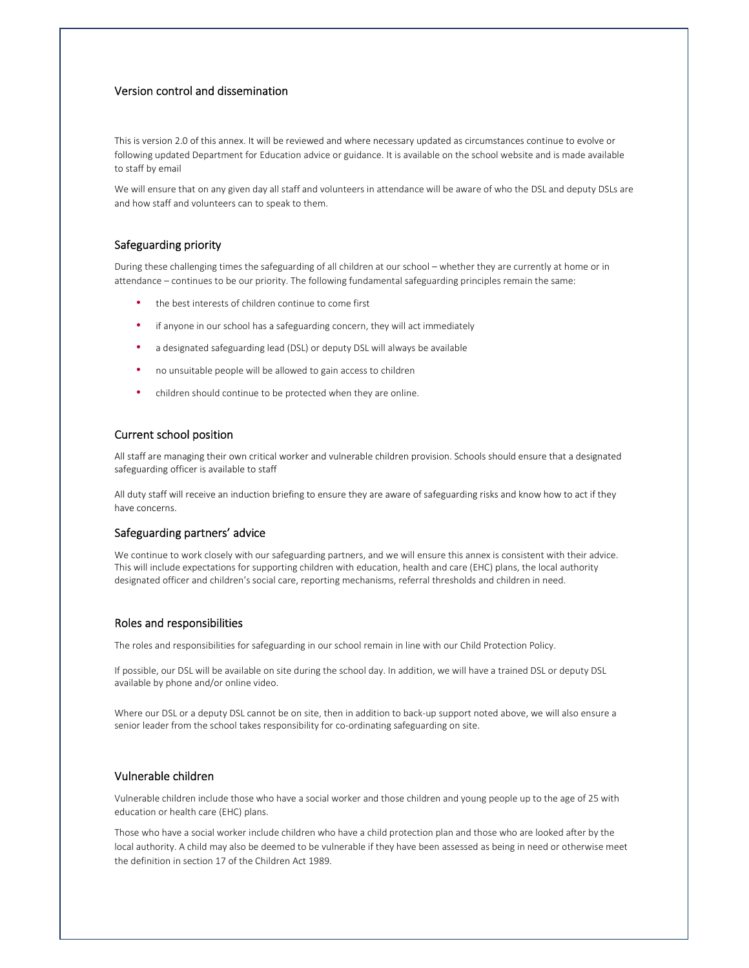## Version control and dissemination

This is version 2.0 of this annex. It will be reviewed and where necessary updated as circumstances continue to evolve or following updated Department for Education advice or guidance. It is available on the school website and is made available to staff by email

We will ensure that on any given day all staff and volunteers in attendance will be aware of who the DSL and deputy DSLs are and how staff and volunteers can to speak to them.

## Safeguarding priority

During these challenging times the safeguarding of all children at our school – whether they are currently at home or in attendance – continues to be our priority. The following fundamental safeguarding principles remain the same:

- the best interests of children continue to come first
- if anyone in our school has a safeguarding concern, they will act immediately
- a designated safeguarding lead (DSL) or deputy DSL will always be available
- no unsuitable people will be allowed to gain access to children
- children should continue to be protected when they are online.

#### Current school position

All staff are managing their own critical worker and vulnerable children provision. Schools should ensure that a designated safeguarding officer is available to staff

All duty staff will receive an induction briefing to ensure they are aware of safeguarding risks and know how to act if they have concerns.

#### Safeguarding partners' advice

We continue to work closely with our safeguarding partners, and we will ensure this annex is consistent with their advice. This will include expectations for supporting children with education, health and care (EHC) plans, the local authority designated officer and children's social care, reporting mechanisms, referral thresholds and children in need.

#### Roles and responsibilities

The roles and responsibilities for safeguarding in our school remain in line with our Child Protection Policy.

If possible, our DSL will be available on site during the school day. In addition, we will have a trained DSL or deputy DSL available by phone and/or online video.

Where our DSL or a deputy DSL cannot be on site, then in addition to back-up support noted above, we will also ensure a senior leader from the school takes responsibility for co-ordinating safeguarding on site.

## Vulnerable children

Vulnerable children include those who have a social worker and those children and young people up to the age of 25 with education or health care (EHC) plans.

Those who have a social worker include children who have a child protection plan and those who are looked after by the local authority. A child may also be deemed to be vulnerable if they have been assessed as being in need or otherwise meet the definition in section 17 of the Children Act 1989.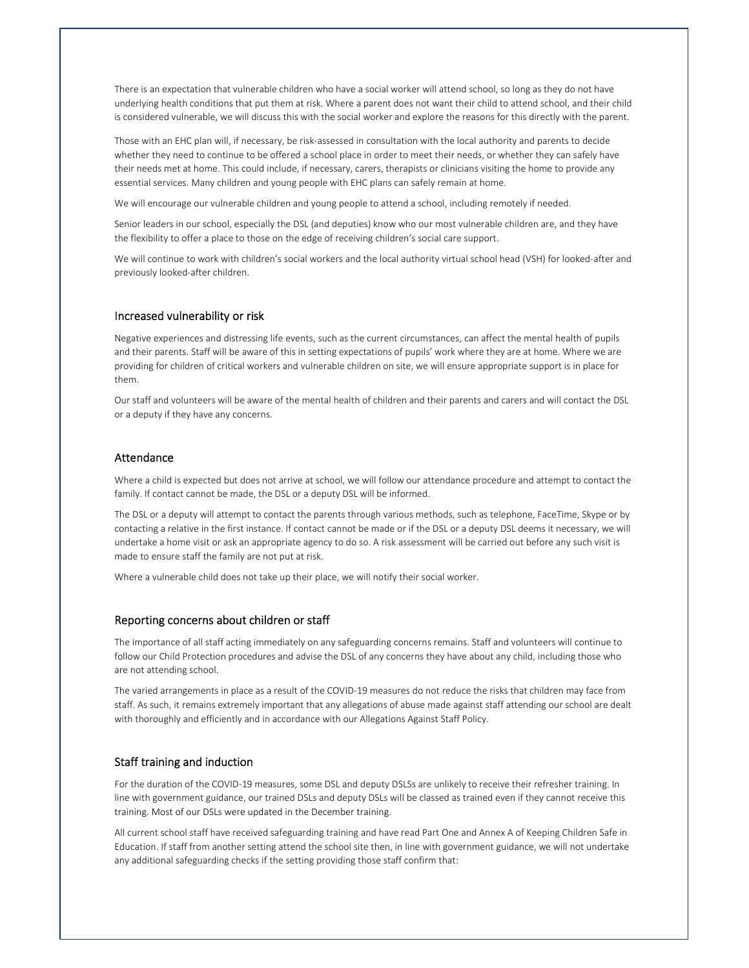There is an expectation that vulnerable children who have a social worker will attend school, so long as they do not have underlying health conditions that put them at risk. Where a parent does not want their child to attend school, and their child is considered vulnerable, we will discuss this with the social worker and explore the reasons for this directly with the parent.

Those with an EHC plan will, if necessary, be risk-assessed in consultation with the local authority and parents to decide whether they need to continue to be offered a school place in order to meet their needs, or whether they can safely have their needs met at home. This could include, if necessary, carers, therapists or clinicians visiting the home to provide any essential services. Many children and young people with EHC plans can safely remain at home.

We will encourage our vulnerable children and young people to attend a school, including remotely if needed.

Senior leaders in our school, especially the DSL (and deputies) know who our most vulnerable children are, and they have the flexibility to offer a place to those on the edge of receiving children's social care support.

We will continue to work with children's social workers and the local authority virtual school head (VSH) for looked-after and previously looked-after children.

#### Increased vulnerability or risk

Negative experiences and distressing life events, such as the current circumstances, can affect the mental health of pupils and their parents. Staff will be aware of this in setting expectations of pupils' work where they are at home. Where we are providing for children of critical workers and vulnerable children on site, we will ensure appropriate support is in place for them.

Our staff and volunteers will be aware of the mental health of children and their parents and carers and will contact the DSL or a deputy if they have any concerns.

## Attendance

Where a child is expected but does not arrive at school, we will follow our attendance procedure and attempt to contact the family. If contact cannot be made, the DSL or a deputy DSL will be informed.

The DSL or a deputy will attempt to contact the parents through various methods, such as telephone, FaceTime, Skype or by contacting a relative in the first instance. If contact cannot be made or if the DSL or a deputy DSL deems it necessary, we will undertake a home visit or ask an appropriate agency to do so. A risk assessment will be carried out before any such visit is made to ensure staff the family are not put at risk.

Where a vulnerable child does not take up their place, we will notify their social worker.

#### Reporting concerns about children or staff

The importance of all staff acting immediately on any safeguarding concerns remains. Staff and volunteers will continue to follow our Child Protection procedures and advise the DSL of any concerns they have about any child, including those who are not attending school.

The varied arrangements in place as a result of the COVID-19 measures do not reduce the risks that children may face from staff. As such, it remains extremely important that any allegations of abuse made against staff attending our school are dealt with thoroughly and efficiently and in accordance with our Allegations Against Staff Policy.

# Staff training and induction

For the duration of the COVID-19 measures, some DSL and deputy DSLSs are unlikely to receive their refresher training. In line with government guidance, our trained DSLs and deputy DSLs will be classed as trained even if they cannot receive this training. Most of our DSLs were updated in the December training.

All current school staff have received safeguarding training and have read Part One and Annex A of Keeping Children Safe in Education. If staff from another setting attend the school site then, in line with government guidance, we will not undertake any additional safeguarding checks if the setting providing those staff confirm that: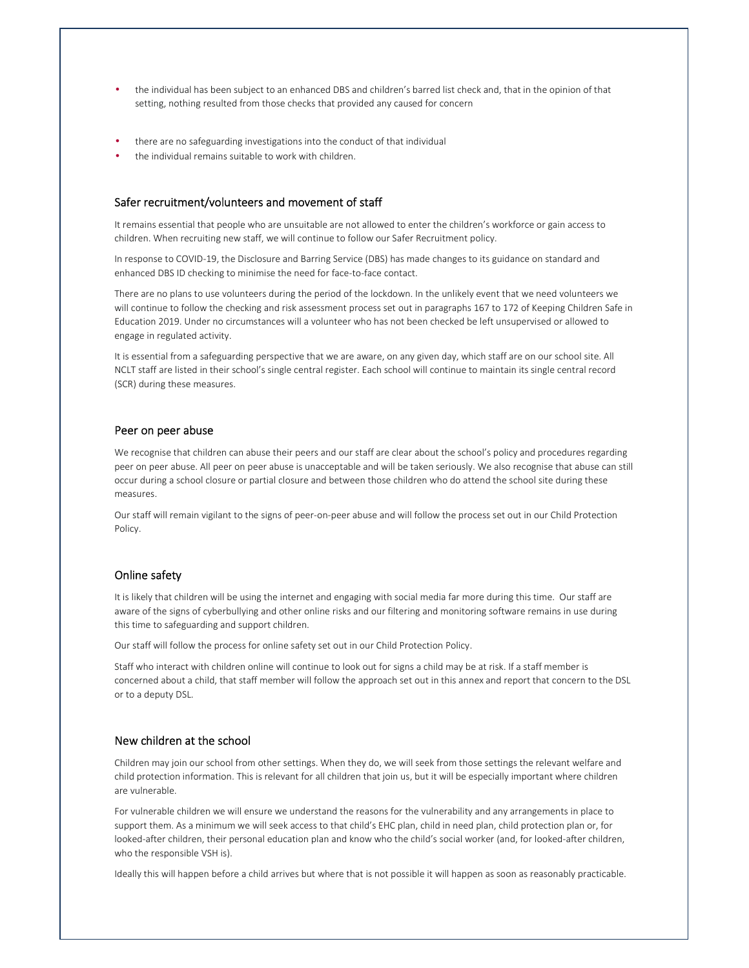- the individual has been subject to an enhanced DBS and children's barred list check and, that in the opinion of that setting, nothing resulted from those checks that provided any caused for concern
- there are no safeguarding investigations into the conduct of that individual
- the individual remains suitable to work with children.

# Safer recruitment/volunteers and movement of staff

It remains essential that people who are unsuitable are not allowed to enter the children's workforce or gain access to children. When recruiting new staff, we will continue to follow our Safer Recruitment policy.

In response to COVID-19, the Disclosure and Barring Service (DBS) has made changes to its guidance on standard and enhanced DBS ID checking to minimise the need for face-to-face contact.

There are no plans to use volunteers during the period of the lockdown. In the unlikely event that we need volunteers we will continue to follow the checking and risk assessment process set out in paragraphs 167 to 172 of Keeping Children Safe in Education 2019. Under no circumstances will a volunteer who has not been checked be left unsupervised or allowed to engage in regulated activity.

It is essential from a safeguarding perspective that we are aware, on any given day, which staff are on our school site. All NCLT staff are listed in their school's single central register. Each school will continue to maintain its single central record (SCR) during these measures.

#### Peer on peer abuse

We recognise that children can abuse their peers and our staff are clear about the school's policy and procedures regarding peer on peer abuse. All peer on peer abuse is unacceptable and will be taken seriously. We also recognise that abuse can still occur during a school closure or partial closure and between those children who do attend the school site during these measures.

Our staff will remain vigilant to the signs of peer-on-peer abuse and will follow the process set out in our Child Protection Policy.

# Online safety

It is likely that children will be using the internet and engaging with social media far more during this time. Our staff are aware of the signs of cyberbullying and other online risks and our filtering and monitoring software remains in use during this time to safeguarding and support children.

Our staff will follow the process for online safety set out in our Child Protection Policy.

Staff who interact with children online will continue to look out for signs a child may be at risk. If a staff member is concerned about a child, that staff member will follow the approach set out in this annex and report that concern to the DSL or to a deputy DSL.

### New children at the school

Children may join our school from other settings. When they do, we will seek from those settings the relevant welfare and child protection information. This is relevant for all children that join us, but it will be especially important where children are vulnerable.

For vulnerable children we will ensure we understand the reasons for the vulnerability and any arrangements in place to support them. As a minimum we will seek access to that child's EHC plan, child in need plan, child protection plan or, for looked-after children, their personal education plan and know who the child's social worker (and, for looked-after children, who the responsible VSH is).

Ideally this will happen before a child arrives but where that is not possible it will happen as soon as reasonably practicable.